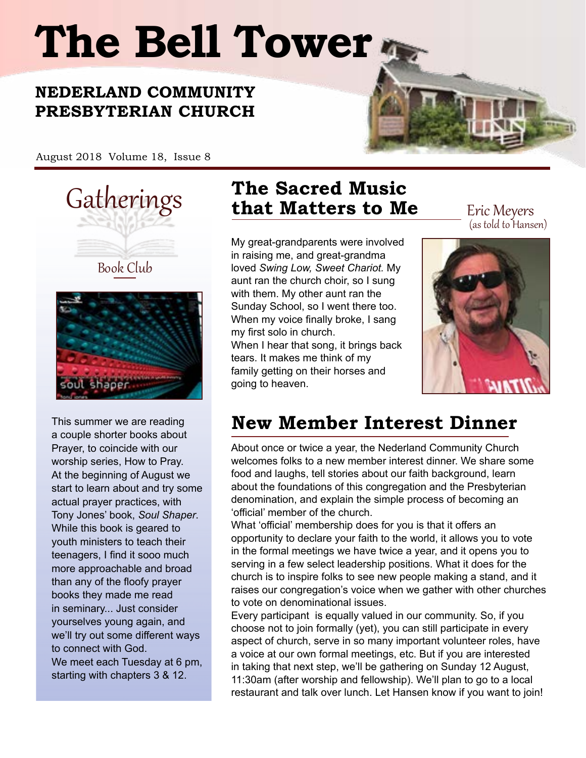# **The Bell Tower**

# **NEDERLAND COMMUNITY PRESBYTERIAN CHURCH**

August 2018 Volume 18, Issue 8







This summer we are reading a couple shorter books about Prayer, to coincide with our worship series, How to Pray. At the beginning of August we start to learn about and try some actual prayer practices, with Tony Jones' book, *Soul Shaper*. While this book is geared to youth ministers to teach their teenagers, I find it sooo much more approachable and broad than any of the floofy prayer books they made me read in seminary... Just consider yourselves young again, and we'll try out some different ways to connect with God. We meet each Tuesday at 6 pm, starting with chapters 3 & 12.

# Gatherings **The Sacred Music that Matters to Me** Eric Meyers

My great-grandparents were involved in raising me, and great-grandma loved *Swing Low, Sweet Chariot.* My aunt ran the church choir, so I sung with them. My other aunt ran the Sunday School, so I went there too. When my voice finally broke, I sang my first solo in church. When I hear that song, it brings back tears. It makes me think of my family getting on their horses and

going to heaven.

(as told to Hansen)



# **New Member Interest Dinner**

About once or twice a year, the Nederland Community Church welcomes folks to a new member interest dinner. We share some food and laughs, tell stories about our faith background, learn about the foundations of this congregation and the Presbyterian denomination, and explain the simple process of becoming an 'official' member of the church.

What 'official' membership does for you is that it offers an opportunity to declare your faith to the world, it allows you to vote in the formal meetings we have twice a year, and it opens you to serving in a few select leadership positions. What it does for the church is to inspire folks to see new people making a stand, and it raises our congregation's voice when we gather with other churches to vote on denominational issues.

Every participant is equally valued in our community. So, if you choose not to join formally (yet), you can still participate in every aspect of church, serve in so many important volunteer roles, have a voice at our own formal meetings, etc. But if you are interested in taking that next step, we'll be gathering on Sunday 12 August, 11:30am (after worship and fellowship). We'll plan to go to a local restaurant and talk over lunch. Let Hansen know if you want to join!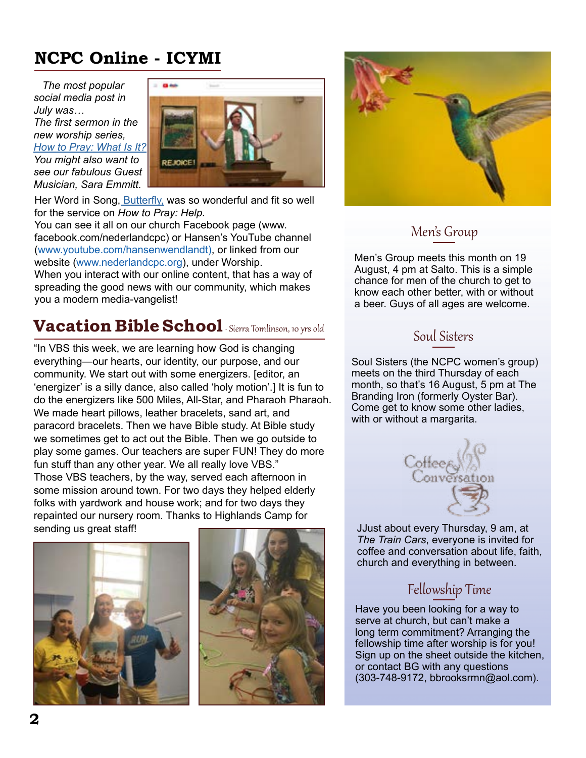# **NCPC Online - ICYMI**

 *The most popular social media post in July was… The first sermon in the new worship series,* 

*[How to Pray: What Is It?](https://www.youtube.com/watch?v=ovXpPsG_KM8&t=18s) You might also want to see our fabulous Guest Musician, Sara Emmitt.* 



Her Word in Song, **Butterfly**, was so wonderful and fit so well for the service on *How to Pray: Help.* 

You can see it all on our church Facebook page (www. facebook.com/nederlandcpc) or Hansen's YouTube channel (www.youtube.com/hansenwendlandt), or linked from our website (www.nederlandcpc.org), under Worship.

When you interact with our online content, that has a way of spreading the good news with our community, which makes you a modern media-vangelist!

# **Vacation Bible School** Sierra Tomlinson, 10 yrs old

"In VBS this week, we are learning how God is changing everything—our hearts, our identity, our purpose, and our community. We start out with some energizers. [editor, an 'energizer' is a silly dance, also called 'holy motion'.] It is fun to do the energizers like 500 Miles, All-Star, and Pharaoh Pharaoh. We made heart pillows, leather bracelets, sand art, and paracord bracelets. Then we have Bible study. At Bible study we sometimes get to act out the Bible. Then we go outside to play some games. Our teachers are super FUN! They do more fun stuff than any other year. We all really love VBS." Those VBS teachers, by the way, served each afternoon in some mission around town. For two days they helped elderly folks with yardwork and house work; and for two days they repainted our nursery room. Thanks to Highlands Camp for sending us great staff!







#### Men's Group

Men's Group meets this month on 19 August, 4 pm at Salto. This is a simple chance for men of the church to get to know each other better, with or without a beer. Guys of all ages are welcome.

#### Soul Sisters

Soul Sisters (the NCPC women's group) meets on the third Thursday of each month, so that's 16 August, 5 pm at The Branding Iron (formerly Oyster Bar). Come get to know some other ladies, with or without a margarita.



JJust about every Thursday, 9 am, at *The Train Cars*, everyone is invited for coffee and conversation about life, faith, church and everything in between.

### Fellowship Time

Have you been looking for a way to serve at church, but can't make a long term commitment? Arranging the fellowship time after worship is for you! Sign up on the sheet outside the kitchen, or contact BG with any questions (303-748-9172, bbrooksrmn@aol.com).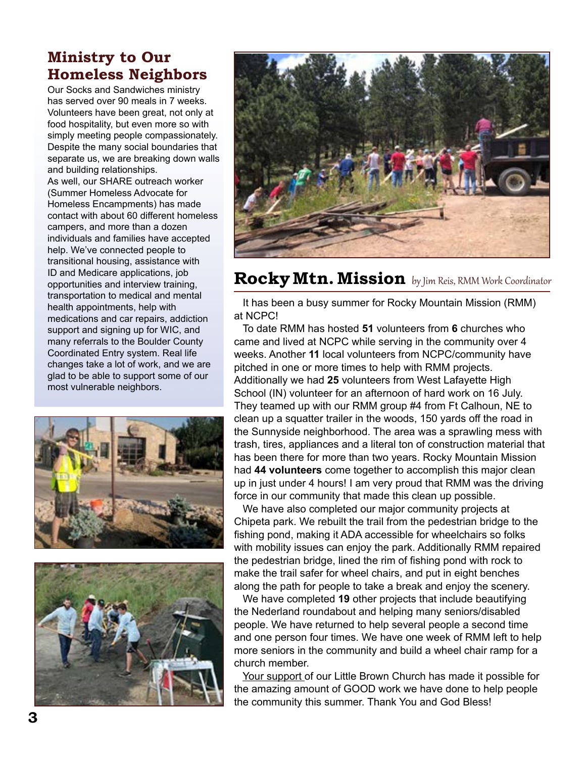## **Ministry to Our Homeless Neighbors**

Our Socks and Sandwiches ministry has served over 90 meals in 7 weeks. Volunteers have been great, not only at food hospitality, but even more so with simply meeting people compassionately. Despite the many social boundaries that separate us, we are breaking down walls and building relationships. As well, our SHARE outreach worker (Summer Homeless Advocate for Homeless Encampments) has made contact with about 60 different homeless campers, and more than a dozen individuals and families have accepted help. We've connected people to transitional housing, assistance with ID and Medicare applications, job opportunities and interview training, transportation to medical and mental health appointments, help with medications and car repairs, addiction support and signing up for WIC, and many referrals to the Boulder County Coordinated Entry system. Real life changes take a lot of work, and we are



glad to be able to support some of our

most vulnerable neighbors.





# **Rocky Mtn. Mission** by Jim Reis, RMM Work Coordinator

 It has been a busy summer for Rocky Mountain Mission (RMM) at NCPC!

 To date RMM has hosted **51** volunteers from **6** churches who came and lived at NCPC while serving in the community over 4 weeks. Another **11** local volunteers from NCPC/community have pitched in one or more times to help with RMM projects. Additionally we had **25** volunteers from West Lafayette High School (IN) volunteer for an afternoon of hard work on 16 July. They teamed up with our RMM group #4 from Ft Calhoun, NE to clean up a squatter trailer in the woods, 150 yards off the road in the Sunnyside neighborhood. The area was a sprawling mess with trash, tires, appliances and a literal ton of construction material that has been there for more than two years. Rocky Mountain Mission had **44 volunteers** come together to accomplish this major clean up in just under 4 hours! I am very proud that RMM was the driving force in our community that made this clean up possible.

 We have also completed our major community projects at Chipeta park. We rebuilt the trail from the pedestrian bridge to the fishing pond, making it ADA accessible for wheelchairs so folks with mobility issues can enjoy the park. Additionally RMM repaired the pedestrian bridge, lined the rim of fishing pond with rock to make the trail safer for wheel chairs, and put in eight benches along the path for people to take a break and enjoy the scenery.

 We have completed **19** other projects that include beautifying the Nederland roundabout and helping many seniors/disabled people. We have returned to help several people a second time and one person four times. We have one week of RMM left to help more seniors in the community and build a wheel chair ramp for a church member.

 Your support of our Little Brown Church has made it possible for the amazing amount of GOOD work we have done to help people the community this summer. Thank You and God Bless!